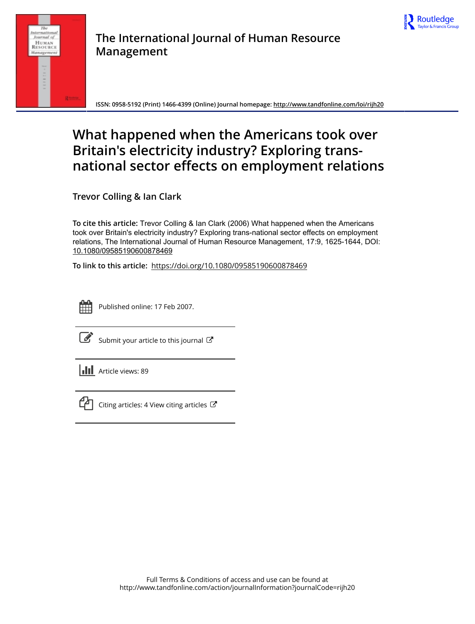



**ISSN: 0958-5192 (Print) 1466-4399 (Online) Journal homepage:<http://www.tandfonline.com/loi/rijh20>**

# **What happened when the Americans took over Britain's electricity industry? Exploring transnational sector effects on employment relations**

**Trevor Colling & Ian Clark**

**To cite this article:** Trevor Colling & Ian Clark (2006) What happened when the Americans took over Britain's electricity industry? Exploring trans-national sector effects on employment relations, The International Journal of Human Resource Management, 17:9, 1625-1644, DOI: [10.1080/09585190600878469](http://www.tandfonline.com/action/showCitFormats?doi=10.1080/09585190600878469)

**To link to this article:** <https://doi.org/10.1080/09585190600878469>

| - | _ |  |
|---|---|--|
|   |   |  |
|   |   |  |
|   |   |  |

Published online: 17 Feb 2007.

[Submit your article to this journal](http://www.tandfonline.com/action/authorSubmission?journalCode=rijh20&show=instructions)  $\mathbb{Z}$ 

**III** Article views: 89



 $\Box$  [Citing articles: 4 View citing articles](http://www.tandfonline.com/doi/citedby/10.1080/09585190600878469#tabModule)  $\Box$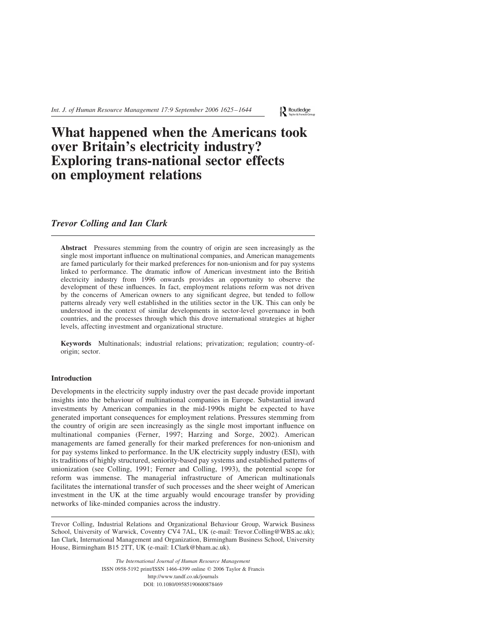Int. J. of Human Resource Management 17:9 September 2006 1625–1644

Routledge

# What happened when the Americans took over Britain's electricity industry? Exploring trans-national sector effects on employment relations

# Trevor Colling and Ian Clark

Abstract Pressures stemming from the country of origin are seen increasingly as the single most important influence on multinational companies, and American managements are famed particularly for their marked preferences for non-unionism and for pay systems linked to performance. The dramatic inflow of American investment into the British electricity industry from 1996 onwards provides an opportunity to observe the development of these influences. In fact, employment relations reform was not driven by the concerns of American owners to any significant degree, but tended to follow patterns already very well established in the utilities sector in the UK. This can only be understood in the context of similar developments in sector-level governance in both countries, and the processes through which this drove international strategies at higher levels, affecting investment and organizational structure.

Keywords Multinationals; industrial relations; privatization; regulation; country-oforigin; sector.

# Introduction

Developments in the electricity supply industry over the past decade provide important insights into the behaviour of multinational companies in Europe. Substantial inward investments by American companies in the mid-1990s might be expected to have generated important consequences for employment relations. Pressures stemming from the country of origin are seen increasingly as the single most important influence on multinational companies (Ferner, 1997; Harzing and Sorge, 2002). American managements are famed generally for their marked preferences for non-unionism and for pay systems linked to performance. In the UK electricity supply industry (ESI), with its traditions of highly structured, seniority-based pay systems and established patterns of unionization (see Colling, 1991; Ferner and Colling, 1993), the potential scope for reform was immense. The managerial infrastructure of American multinationals facilitates the international transfer of such processes and the sheer weight of American investment in the UK at the time arguably would encourage transfer by providing networks of like-minded companies across the industry.

Trevor Colling, Industrial Relations and Organizational Behaviour Group, Warwick Business School, University of Warwick, Coventry CV4 7AL, UK (e-mail: Trevor.Colling@WBS.ac.uk); Ian Clark, International Management and Organization, Birmingham Business School, University House, Birmingham B15 2TT, UK (e-mail: I.Clark@bham.ac.uk).

> The International Journal of Human Resource Management ISSN 0958-5192 print/ISSN 1466-4399 online q 2006 Taylor & Francis http://www.tandf.co.uk/journals DOI: 10.1080/09585190600878469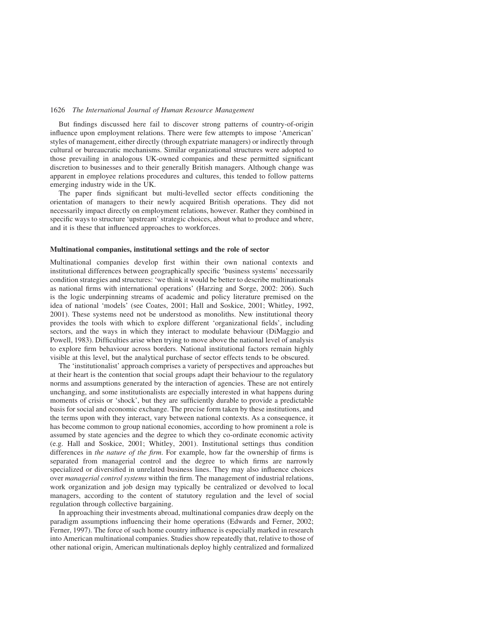But findings discussed here fail to discover strong patterns of country-of-origin influence upon employment relations. There were few attempts to impose 'American' styles of management, either directly (through expatriate managers) or indirectly through cultural or bureaucratic mechanisms. Similar organizational structures were adopted to those prevailing in analogous UK-owned companies and these permitted significant discretion to businesses and to their generally British managers. Although change was apparent in employee relations procedures and cultures, this tended to follow patterns emerging industry wide in the UK.

The paper finds significant but multi-levelled sector effects conditioning the orientation of managers to their newly acquired British operations. They did not necessarily impact directly on employment relations, however. Rather they combined in specific ways to structure 'upstream' strategic choices, about what to produce and where, and it is these that influenced approaches to workforces.

#### Multinational companies, institutional settings and the role of sector

Multinational companies develop first within their own national contexts and institutional differences between geographically specific 'business systems' necessarily condition strategies and structures: 'we think it would be better to describe multinationals as national firms with international operations' (Harzing and Sorge, 2002: 206). Such is the logic underpinning streams of academic and policy literature premised on the idea of national 'models' (see Coates, 2001; Hall and Soskice, 2001; Whitley, 1992, 2001). These systems need not be understood as monoliths. New institutional theory provides the tools with which to explore different 'organizational fields', including sectors, and the ways in which they interact to modulate behaviour (DiMaggio and Powell, 1983). Difficulties arise when trying to move above the national level of analysis to explore firm behaviour across borders. National institutional factors remain highly visible at this level, but the analytical purchase of sector effects tends to be obscured.

The 'institutionalist' approach comprises a variety of perspectives and approaches but at their heart is the contention that social groups adapt their behaviour to the regulatory norms and assumptions generated by the interaction of agencies. These are not entirely unchanging, and some institutionalists are especially interested in what happens during moments of crisis or 'shock', but they are sufficiently durable to provide a predictable basis for social and economic exchange. The precise form taken by these institutions, and the terms upon with they interact, vary between national contexts. As a consequence, it has become common to group national economies, according to how prominent a role is assumed by state agencies and the degree to which they co-ordinate economic activity (e.g. Hall and Soskice, 2001; Whitley, 2001). Institutional settings thus condition differences in the nature of the firm. For example, how far the ownership of firms is separated from managerial control and the degree to which firms are narrowly specialized or diversified in unrelated business lines. They may also influence choices over managerial control systems within the firm. The management of industrial relations, work organization and job design may typically be centralized or devolved to local managers, according to the content of statutory regulation and the level of social regulation through collective bargaining.

In approaching their investments abroad, multinational companies draw deeply on the paradigm assumptions influencing their home operations (Edwards and Ferner, 2002; Ferner, 1997). The force of such home country influence is especially marked in research into American multinational companies. Studies show repeatedly that, relative to those of other national origin, American multinationals deploy highly centralized and formalized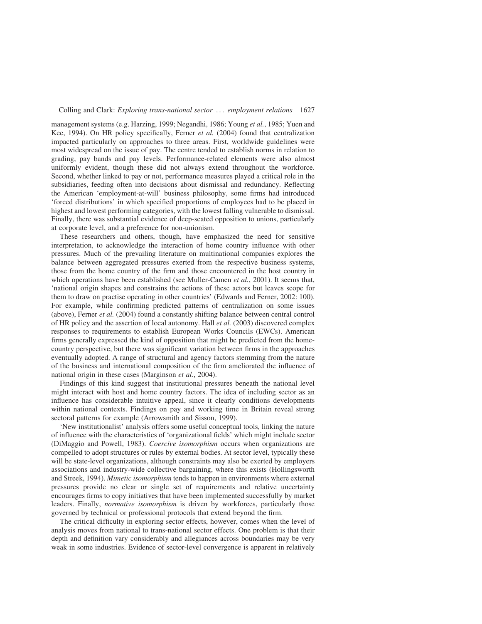management systems (e.g. Harzing, 1999; Negandhi, 1986; Young et al., 1985; Yuen and Kee, 1994). On HR policy specifically, Ferner et al. (2004) found that centralization impacted particularly on approaches to three areas. First, worldwide guidelines were most widespread on the issue of pay. The centre tended to establish norms in relation to grading, pay bands and pay levels. Performance-related elements were also almost uniformly evident, though these did not always extend throughout the workforce. Second, whether linked to pay or not, performance measures played a critical role in the subsidiaries, feeding often into decisions about dismissal and redundancy. Reflecting the American 'employment-at-will' business philosophy, some firms had introduced 'forced distributions' in which specified proportions of employees had to be placed in highest and lowest performing categories, with the lowest falling vulnerable to dismissal. Finally, there was substantial evidence of deep-seated opposition to unions, particularly at corporate level, and a preference for non-unionism.

These researchers and others, though, have emphasized the need for sensitive interpretation, to acknowledge the interaction of home country influence with other pressures. Much of the prevailing literature on multinational companies explores the balance between aggregated pressures exerted from the respective business systems, those from the home country of the firm and those encountered in the host country in which operations have been established (see Muller-Camen et al., 2001). It seems that, 'national origin shapes and constrains the actions of these actors but leaves scope for them to draw on practise operating in other countries' (Edwards and Ferner, 2002: 100). For example, while confirming predicted patterns of centralization on some issues (above), Ferner et al. (2004) found a constantly shifting balance between central control of HR policy and the assertion of local autonomy. Hall et al. (2003) discovered complex responses to requirements to establish European Works Councils (EWCs). American firms generally expressed the kind of opposition that might be predicted from the homecountry perspective, but there was significant variation between firms in the approaches eventually adopted. A range of structural and agency factors stemming from the nature of the business and international composition of the firm ameliorated the influence of national origin in these cases (Marginson et al., 2004).

Findings of this kind suggest that institutional pressures beneath the national level might interact with host and home country factors. The idea of including sector as an influence has considerable intuitive appeal, since it clearly conditions developments within national contexts. Findings on pay and working time in Britain reveal strong sectoral patterns for example (Arrowsmith and Sisson, 1999).

'New institutionalist' analysis offers some useful conceptual tools, linking the nature of influence with the characteristics of 'organizational fields' which might include sector (DiMaggio and Powell, 1983). Coercive isomorphism occurs when organizations are compelled to adopt structures or rules by external bodies. At sector level, typically these will be state-level organizations, although constraints may also be exerted by employers associations and industry-wide collective bargaining, where this exists (Hollingsworth and Streek, 1994). Mimetic isomorphism tends to happen in environments where external pressures provide no clear or single set of requirements and relative uncertainty encourages firms to copy initiatives that have been implemented successfully by market leaders. Finally, *normative isomorphism* is driven by workforces, particularly those governed by technical or professional protocols that extend beyond the firm.

The critical difficulty in exploring sector effects, however, comes when the level of analysis moves from national to trans-national sector effects. One problem is that their depth and definition vary considerably and allegiances across boundaries may be very weak in some industries. Evidence of sector-level convergence is apparent in relatively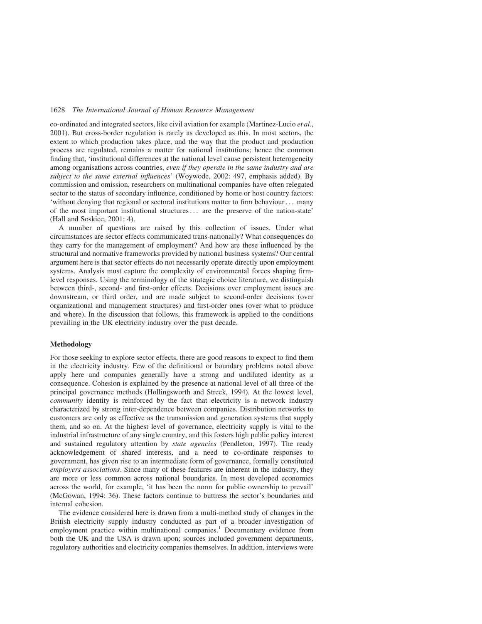co-ordinated and integrated sectors, like civil aviation for example (Martinez-Lucio et al., 2001). But cross-border regulation is rarely as developed as this. In most sectors, the extent to which production takes place, and the way that the product and production process are regulated, remains a matter for national institutions; hence the common finding that, 'institutional differences at the national level cause persistent heterogeneity among organisations across countries, even if they operate in the same industry and are subject to the same external influences' (Woywode, 2002: 497, emphasis added). By commission and omission, researchers on multinational companies have often relegated sector to the status of secondary influence, conditioned by home or host country factors: 'without denying that regional or sectoral institutions matter to firm behaviour ... many of the most important institutional structures... are the preserve of the nation-state' (Hall and Soskice, 2001: 4).

A number of questions are raised by this collection of issues. Under what circumstances are sector effects communicated trans-nationally? What consequences do they carry for the management of employment? And how are these influenced by the structural and normative frameworks provided by national business systems? Our central argument here is that sector effects do not necessarily operate directly upon employment systems. Analysis must capture the complexity of environmental forces shaping firmlevel responses. Using the terminology of the strategic choice literature, we distinguish between third-, second- and first-order effects. Decisions over employment issues are downstream, or third order, and are made subject to second-order decisions (over organizational and management structures) and first-order ones (over what to produce and where). In the discussion that follows, this framework is applied to the conditions prevailing in the UK electricity industry over the past decade.

#### Methodology

For those seeking to explore sector effects, there are good reasons to expect to find them in the electricity industry. Few of the definitional or boundary problems noted above apply here and companies generally have a strong and undiluted identity as a consequence. Cohesion is explained by the presence at national level of all three of the principal governance methods (Hollingsworth and Streek, 1994). At the lowest level, community identity is reinforced by the fact that electricity is a network industry characterized by strong inter-dependence between companies. Distribution networks to customers are only as effective as the transmission and generation systems that supply them, and so on. At the highest level of governance, electricity supply is vital to the industrial infrastructure of any single country, and this fosters high public policy interest and sustained regulatory attention by state agencies (Pendleton, 1997). The ready acknowledgement of shared interests, and a need to co-ordinate responses to government, has given rise to an intermediate form of governance, formally constituted employers associations. Since many of these features are inherent in the industry, they are more or less common across national boundaries. In most developed economies across the world, for example, 'it has been the norm for public ownership to prevail' (McGowan, 1994: 36). These factors continue to buttress the sector's boundaries and internal cohesion.

The evidence considered here is drawn from a multi-method study of changes in the British electricity supply industry conducted as part of a broader investigation of employment practice within multinational companies.<sup>1</sup> Documentary evidence from both the UK and the USA is drawn upon; sources included government departments, regulatory authorities and electricity companies themselves. In addition, interviews were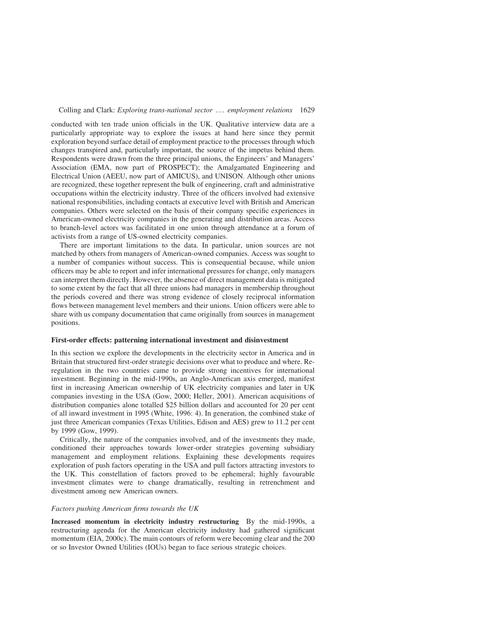conducted with ten trade union officials in the UK. Qualitative interview data are a particularly appropriate way to explore the issues at hand here since they permit exploration beyond surface detail of employment practice to the processes through which changes transpired and, particularly important, the source of the impetus behind them. Respondents were drawn from the three principal unions, the Engineers' and Managers' Association (EMA, now part of PROSPECT); the Amalgamated Engineering and Electrical Union (AEEU, now part of AMICUS), and UNISON. Although other unions are recognized, these together represent the bulk of engineering, craft and administrative occupations within the electricity industry. Three of the officers involved had extensive national responsibilities, including contacts at executive level with British and American companies. Others were selected on the basis of their company specific experiences in American-owned electricity companies in the generating and distribution areas. Access to branch-level actors was facilitated in one union through attendance at a forum of activists from a range of US-owned electricity companies.

There are important limitations to the data. In particular, union sources are not matched by others from managers of American-owned companies. Access was sought to a number of companies without success. This is consequential because, while union officers may be able to report and infer international pressures for change, only managers can interpret them directly. However, the absence of direct management data is mitigated to some extent by the fact that all three unions had managers in membership throughout the periods covered and there was strong evidence of closely reciprocal information flows between management level members and their unions. Union officers were able to share with us company documentation that came originally from sources in management positions.

## First-order effects: patterning international investment and disinvestment

In this section we explore the developments in the electricity sector in America and in Britain that structured first-order strategic decisions over what to produce and where. Reregulation in the two countries came to provide strong incentives for international investment. Beginning in the mid-1990s, an Anglo-American axis emerged, manifest first in increasing American ownership of UK electricity companies and later in UK companies investing in the USA (Gow, 2000; Heller, 2001). American acquisitions of distribution companies alone totalled \$25 billion dollars and accounted for 20 per cent of all inward investment in 1995 (White, 1996: 4). In generation, the combined stake of just three American companies (Texas Utilities, Edison and AES) grew to 11.2 per cent by 1999 (Gow, 1999).

Critically, the nature of the companies involved, and of the investments they made, conditioned their approaches towards lower-order strategies governing subsidiary management and employment relations. Explaining these developments requires exploration of push factors operating in the USA and pull factors attracting investors to the UK. This constellation of factors proved to be ephemeral; highly favourable investment climates were to change dramatically, resulting in retrenchment and divestment among new American owners.

#### Factors pushing American firms towards the UK

Increased momentum in electricity industry restructuring By the mid-1990s, a restructuring agenda for the American electricity industry had gathered significant momentum (EIA, 2000c). The main contours of reform were becoming clear and the 200 or so Investor Owned Utilities (IOUs) began to face serious strategic choices.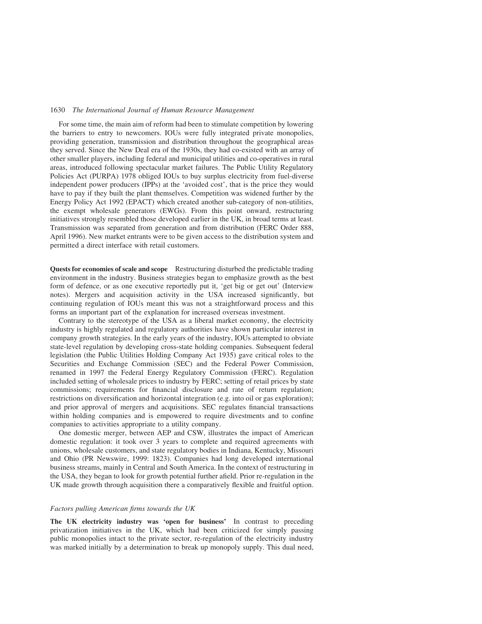For some time, the main aim of reform had been to stimulate competition by lowering the barriers to entry to newcomers. IOUs were fully integrated private monopolies, providing generation, transmission and distribution throughout the geographical areas they served. Since the New Deal era of the 1930s, they had co-existed with an array of other smaller players, including federal and municipal utilities and co-operatives in rural areas, introduced following spectacular market failures. The Public Utility Regulatory Policies Act (PURPA) 1978 obliged IOUs to buy surplus electricity from fuel-diverse independent power producers (IPPs) at the 'avoided cost', that is the price they would have to pay if they built the plant themselves. Competition was widened further by the Energy Policy Act 1992 (EPACT) which created another sub-category of non-utilities, the exempt wholesale generators (EWGs). From this point onward, restructuring initiatives strongly resembled those developed earlier in the UK, in broad terms at least. Transmission was separated from generation and from distribution (FERC Order 888, April 1996). New market entrants were to be given access to the distribution system and permitted a direct interface with retail customers.

Quests for economies of scale and scope Restructuring disturbed the predictable trading environment in the industry. Business strategies began to emphasize growth as the best form of defence, or as one executive reportedly put it, 'get big or get out' (Interview notes). Mergers and acquisition activity in the USA increased significantly, but continuing regulation of IOUs meant this was not a straightforward process and this forms an important part of the explanation for increased overseas investment.

Contrary to the stereotype of the USA as a liberal market economy, the electricity industry is highly regulated and regulatory authorities have shown particular interest in company growth strategies. In the early years of the industry, IOUs attempted to obviate state-level regulation by developing cross-state holding companies. Subsequent federal legislation (the Public Utilities Holding Company Act 1935) gave critical roles to the Securities and Exchange Commission (SEC) and the Federal Power Commission, renamed in 1997 the Federal Energy Regulatory Commission (FERC). Regulation included setting of wholesale prices to industry by FERC; setting of retail prices by state commissions; requirements for financial disclosure and rate of return regulation; restrictions on diversification and horizontal integration (e.g. into oil or gas exploration); and prior approval of mergers and acquisitions. SEC regulates financial transactions within holding companies and is empowered to require divestments and to confine companies to activities appropriate to a utility company.

One domestic merger, between AEP and CSW, illustrates the impact of American domestic regulation: it took over 3 years to complete and required agreements with unions, wholesale customers, and state regulatory bodies in Indiana, Kentucky, Missouri and Ohio (PR Newswire, 1999: 1823). Companies had long developed international business streams, mainly in Central and South America. In the context of restructuring in the USA, they began to look for growth potential further afield. Prior re-regulation in the UK made growth through acquisition there a comparatively flexible and fruitful option.

## Factors pulling American firms towards the UK

The UK electricity industry was 'open for business' In contrast to preceding privatization initiatives in the UK, which had been criticized for simply passing public monopolies intact to the private sector, re-regulation of the electricity industry was marked initially by a determination to break up monopoly supply. This dual need,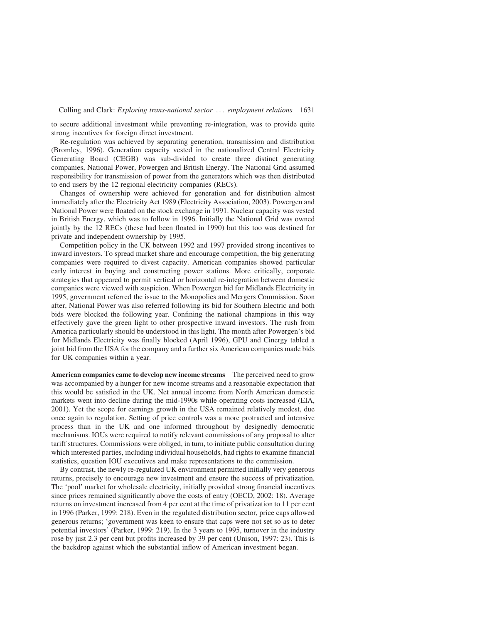to secure additional investment while preventing re-integration, was to provide quite strong incentives for foreign direct investment.

Re-regulation was achieved by separating generation, transmission and distribution (Bromley, 1996). Generation capacity vested in the nationalized Central Electricity Generating Board (CEGB) was sub-divided to create three distinct generating companies, National Power, Powergen and British Energy. The National Grid assumed responsibility for transmission of power from the generators which was then distributed to end users by the 12 regional electricity companies (RECs).

Changes of ownership were achieved for generation and for distribution almost immediately after the Electricity Act 1989 (Electricity Association, 2003). Powergen and National Power were floated on the stock exchange in 1991. Nuclear capacity was vested in British Energy, which was to follow in 1996. Initially the National Grid was owned jointly by the 12 RECs (these had been floated in 1990) but this too was destined for private and independent ownership by 1995.

Competition policy in the UK between 1992 and 1997 provided strong incentives to inward investors. To spread market share and encourage competition, the big generating companies were required to divest capacity. American companies showed particular early interest in buying and constructing power stations. More critically, corporate strategies that appeared to permit vertical or horizontal re-integration between domestic companies were viewed with suspicion. When Powergen bid for Midlands Electricity in 1995, government referred the issue to the Monopolies and Mergers Commission. Soon after, National Power was also referred following its bid for Southern Electric and both bids were blocked the following year. Confining the national champions in this way effectively gave the green light to other prospective inward investors. The rush from America particularly should be understood in this light. The month after Powergen's bid for Midlands Electricity was finally blocked (April 1996), GPU and Cinergy tabled a joint bid from the USA for the company and a further six American companies made bids for UK companies within a year.

American companies came to develop new income streams The perceived need to grow was accompanied by a hunger for new income streams and a reasonable expectation that this would be satisfied in the UK. Net annual income from North American domestic markets went into decline during the mid-1990s while operating costs increased (EIA, 2001). Yet the scope for earnings growth in the USA remained relatively modest, due once again to regulation. Setting of price controls was a more protracted and intensive process than in the UK and one informed throughout by designedly democratic mechanisms. IOUs were required to notify relevant commissions of any proposal to alter tariff structures. Commissions were obliged, in turn, to initiate public consultation during which interested parties, including individual households, had rights to examine financial statistics, question IOU executives and make representations to the commission.

By contrast, the newly re-regulated UK environment permitted initially very generous returns, precisely to encourage new investment and ensure the success of privatization. The 'pool' market for wholesale electricity, initially provided strong financial incentives since prices remained significantly above the costs of entry (OECD, 2002: 18). Average returns on investment increased from 4 per cent at the time of privatization to 11 per cent in 1996 (Parker, 1999: 218). Even in the regulated distribution sector, price caps allowed generous returns; 'government was keen to ensure that caps were not set so as to deter potential investors' (Parker, 1999: 219). In the 3 years to 1995, turnover in the industry rose by just 2.3 per cent but profits increased by 39 per cent (Unison, 1997: 23). This is the backdrop against which the substantial inflow of American investment began.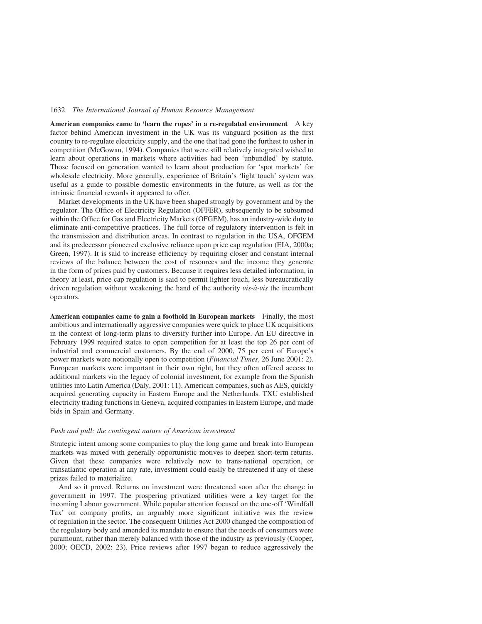American companies came to 'learn the ropes' in a re-regulated environment A key factor behind American investment in the UK was its vanguard position as the first country to re-regulate electricity supply, and the one that had gone the furthest to usher in competition (McGowan, 1994). Companies that were still relatively integrated wished to learn about operations in markets where activities had been 'unbundled' by statute. Those focused on generation wanted to learn about production for 'spot markets' for wholesale electricity. More generally, experience of Britain's 'light touch' system was useful as a guide to possible domestic environments in the future, as well as for the intrinsic financial rewards it appeared to offer.

Market developments in the UK have been shaped strongly by government and by the regulator. The Office of Electricity Regulation (OFFER), subsequently to be subsumed within the Office for Gas and Electricity Markets (OFGEM), has an industry-wide duty to eliminate anti-competitive practices. The full force of regulatory intervention is felt in the transmission and distribution areas. In contrast to regulation in the USA, OFGEM and its predecessor pioneered exclusive reliance upon price cap regulation (EIA, 2000a; Green, 1997). It is said to increase efficiency by requiring closer and constant internal reviews of the balance between the cost of resources and the income they generate in the form of prices paid by customers. Because it requires less detailed information, in theory at least, price cap regulation is said to permit lighter touch, less bureaucratically driven regulation without weakening the hand of the authority  $vis -\hat{a}$ -vis the incumbent operators.

American companies came to gain a foothold in European markets Finally, the most ambitious and internationally aggressive companies were quick to place UK acquisitions in the context of long-term plans to diversify further into Europe. An EU directive in February 1999 required states to open competition for at least the top 26 per cent of industrial and commercial customers. By the end of 2000, 75 per cent of Europe's power markets were notionally open to competition (Financial Times, 26 June 2001: 2). European markets were important in their own right, but they often offered access to additional markets via the legacy of colonial investment, for example from the Spanish utilities into Latin America (Daly, 2001: 11). American companies, such as AES, quickly acquired generating capacity in Eastern Europe and the Netherlands. TXU established electricity trading functions in Geneva, acquired companies in Eastern Europe, and made bids in Spain and Germany.

# Push and pull: the contingent nature of American investment

Strategic intent among some companies to play the long game and break into European markets was mixed with generally opportunistic motives to deepen short-term returns. Given that these companies were relatively new to trans-national operation, or transatlantic operation at any rate, investment could easily be threatened if any of these prizes failed to materialize.

And so it proved. Returns on investment were threatened soon after the change in government in 1997. The prospering privatized utilities were a key target for the incoming Labour government. While popular attention focused on the one-off 'Windfall Tax' on company profits, an arguably more significant initiative was the review of regulation in the sector. The consequent Utilities Act 2000 changed the composition of the regulatory body and amended its mandate to ensure that the needs of consumers were paramount, rather than merely balanced with those of the industry as previously (Cooper, 2000; OECD, 2002: 23). Price reviews after 1997 began to reduce aggressively the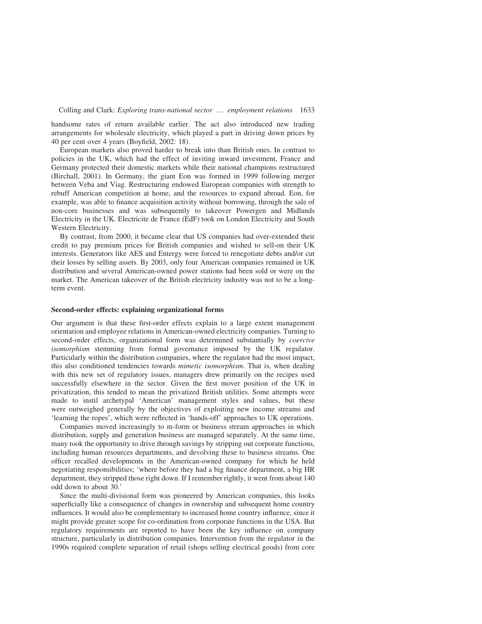handsome rates of return available earlier. The act also introduced new trading arrangements for wholesale electricity, which played a part in driving down prices by 40 per cent over 4 years (Boyfield, 2002: 18).

European markets also proved harder to break into than British ones. In contrast to policies in the UK, which had the effect of inviting inward investment, France and Germany protected their domestic markets while their national champions restructured (Birchall, 2001). In Germany, the giant Eon was formed in 1999 following merger between Veba and Viag. Restructuring endowed European companies with strength to rebuff American competition at home, and the resources to expand abroad. Eon, for example, was able to finance acquisition activity without borrowing, through the sale of non-core businesses and was subsequently to takeover Powergen and Midlands Electricity in the UK. Electricite de France (EdF) took on London Electricity and South Western Electricity.

By contrast, from 2000, it became clear that US companies had over-extended their credit to pay premium prices for British companies and wished to sell-on their UK interests. Generators like AES and Entergy were forced to renegotiate debts and/or cut their losses by selling assets. By 2003, only four American companies remained in UK distribution and several American-owned power stations had been sold or were on the market. The American takeover of the British electricity industry was not to be a longterm event.

# Second-order effects: explaining organizational forms

Our argument is that these first-order effects explain to a large extent management orientation and employee relations in American-owned electricity companies. Turning to second-order effects, organizational form was determined substantially by *coercive* isomorphism stemming from formal governance imposed by the UK regulator. Particularly within the distribution companies, where the regulator had the most impact, this also conditioned tendencies towards *mimetic isomorphism*. That is, when dealing with this new set of regulatory issues, managers drew primarily on the recipes used successfully elsewhere in the sector. Given the first mover position of the UK in privatization, this tended to mean the privatized British utilities. Some attempts were made to instil archetypal 'American' management styles and values, but these were outweighed generally by the objectives of exploiting new income streams and 'learning the ropes', which were reflected in 'hands-off' approaches to UK operations.

Companies moved increasingly to m-form or business stream approaches in which distribution, supply and generation business are managed separately. At the same time, many took the opportunity to drive through savings by stripping out corporate functions, including human resources departments, and devolving these to business streams. One officer recalled developments in the American-owned company for which he held negotiating responsibilities; 'where before they had a big finance department, a big HR department, they stripped those right down. If I remember rightly, it went from about 140 odd down to about 30.'

Since the multi-divisional form was pioneered by American companies, this looks superficially like a consequence of changes in ownership and subsequent home country influences. It would also be complementary to increased home country influence, since it might provide greater scope for co-ordination from corporate functions in the USA. But regulatory requirements are reported to have been the key influence on company structure, particularly in distribution companies. Intervention from the regulator in the 1990s required complete separation of retail (shops selling electrical goods) from core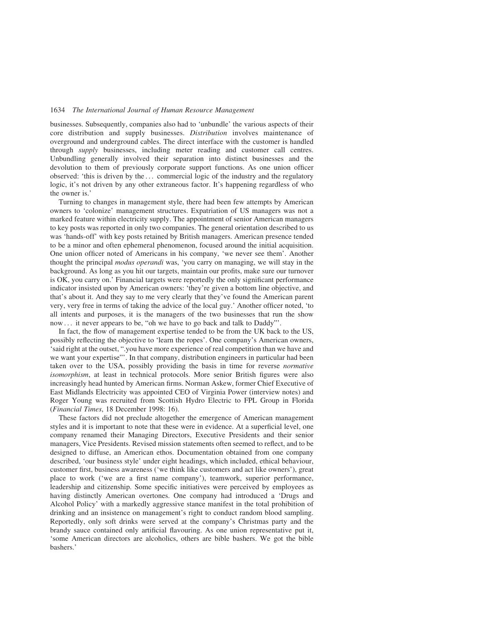businesses. Subsequently, companies also had to 'unbundle' the various aspects of their core distribution and supply businesses. Distribution involves maintenance of overground and underground cables. The direct interface with the customer is handled through supply businesses, including meter reading and customer call centres. Unbundling generally involved their separation into distinct businesses and the devolution to them of previously corporate support functions. As one union officer observed: 'this is driven by the ... commercial logic of the industry and the regulatory logic, it's not driven by any other extraneous factor. It's happening regardless of who the owner is.'

Turning to changes in management style, there had been few attempts by American owners to 'colonize' management structures. Expatriation of US managers was not a marked feature within electricity supply. The appointment of senior American managers to key posts was reported in only two companies. The general orientation described to us was 'hands-off' with key posts retained by British managers. American presence tended to be a minor and often ephemeral phenomenon, focused around the initial acquisition. One union officer noted of Americans in his company, 'we never see them'. Another thought the principal modus operandi was, 'you carry on managing, we will stay in the background. As long as you hit our targets, maintain our profits, make sure our turnover is OK, you carry on.' Financial targets were reportedly the only significant performance indicator insisted upon by American owners: 'they're given a bottom line objective, and that's about it. And they say to me very clearly that they've found the American parent very, very free in terms of taking the advice of the local guy.' Another officer noted, 'to all intents and purposes, it is the managers of the two businesses that run the show now ... it never appears to be, "oh we have to go back and talk to Daddy"'.

In fact, the flow of management expertise tended to be from the UK back to the US, possibly reflecting the objective to 'learn the ropes'. One company's American owners, 'said right at the outset, ".you have more experience of real competition than we have and we want your expertise"'. In that company, distribution engineers in particular had been taken over to the USA, possibly providing the basis in time for reverse normative isomorphism, at least in technical protocols. More senior British figures were also increasingly head hunted by American firms. Norman Askew, former Chief Executive of East Midlands Electricity was appointed CEO of Virginia Power (interview notes) and Roger Young was recruited from Scottish Hydro Electric to FPL Group in Florida (Financial Times, 18 December 1998: 16).

These factors did not preclude altogether the emergence of American management styles and it is important to note that these were in evidence. At a superficial level, one company renamed their Managing Directors, Executive Presidents and their senior managers, Vice Presidents. Revised mission statements often seemed to reflect, and to be designed to diffuse, an American ethos. Documentation obtained from one company described, 'our business style' under eight headings, which included, ethical behaviour, customer first, business awareness ('we think like customers and act like owners'), great place to work ('we are a first name company'), teamwork, superior performance, leadership and citizenship. Some specific initiatives were perceived by employees as having distinctly American overtones. One company had introduced a 'Drugs and Alcohol Policy' with a markedly aggressive stance manifest in the total prohibition of drinking and an insistence on management's right to conduct random blood sampling. Reportedly, only soft drinks were served at the company's Christmas party and the brandy sauce contained only artificial flavouring. As one union representative put it, 'some American directors are alcoholics, others are bible bashers. We got the bible bashers.'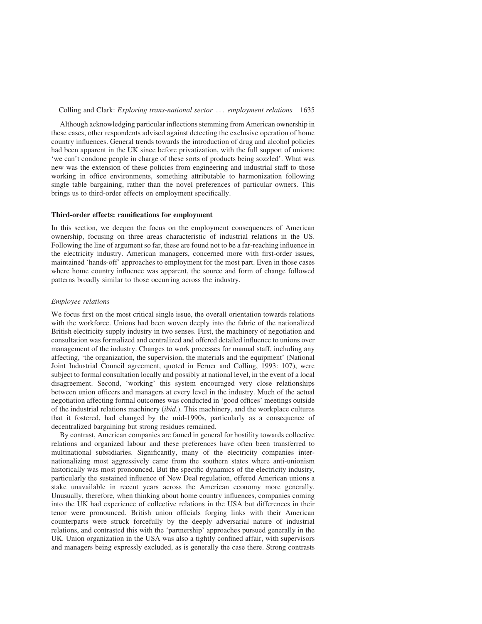Although acknowledging particular inflections stemming from American ownership in these cases, other respondents advised against detecting the exclusive operation of home country influences. General trends towards the introduction of drug and alcohol policies had been apparent in the UK since before privatization, with the full support of unions: 'we can't condone people in charge of these sorts of products being sozzled'. What was new was the extension of these policies from engineering and industrial staff to those working in office environments, something attributable to harmonization following single table bargaining, rather than the novel preferences of particular owners. This brings us to third-order effects on employment specifically.

# Third-order effects: ramifications for employment

In this section, we deepen the focus on the employment consequences of American ownership, focusing on three areas characteristic of industrial relations in the US. Following the line of argument so far, these are found not to be a far-reaching influence in the electricity industry. American managers, concerned more with first-order issues, maintained 'hands-off' approaches to employment for the most part. Even in those cases where home country influence was apparent, the source and form of change followed patterns broadly similar to those occurring across the industry.

## Employee relations

We focus first on the most critical single issue, the overall orientation towards relations with the workforce. Unions had been woven deeply into the fabric of the nationalized British electricity supply industry in two senses. First, the machinery of negotiation and consultation was formalized and centralized and offered detailed influence to unions over management of the industry. Changes to work processes for manual staff, including any affecting, 'the organization, the supervision, the materials and the equipment' (National Joint Industrial Council agreement, quoted in Ferner and Colling, 1993: 107), were subject to formal consultation locally and possibly at national level, in the event of a local disagreement. Second, 'working' this system encouraged very close relationships between union officers and managers at every level in the industry. Much of the actual negotiation affecting formal outcomes was conducted in 'good offices' meetings outside of the industrial relations machinery (ibid.). This machinery, and the workplace cultures that it fostered, had changed by the mid-1990s, particularly as a consequence of decentralized bargaining but strong residues remained.

By contrast, American companies are famed in general for hostility towards collective relations and organized labour and these preferences have often been transferred to multinational subsidiaries. Significantly, many of the electricity companies internationalizing most aggressively came from the southern states where anti-unionism historically was most pronounced. But the specific dynamics of the electricity industry, particularly the sustained influence of New Deal regulation, offered American unions a stake unavailable in recent years across the American economy more generally. Unusually, therefore, when thinking about home country influences, companies coming into the UK had experience of collective relations in the USA but differences in their tenor were pronounced. British union officials forging links with their American counterparts were struck forcefully by the deeply adversarial nature of industrial relations, and contrasted this with the 'partnership' approaches pursued generally in the UK. Union organization in the USA was also a tightly confined affair, with supervisors and managers being expressly excluded, as is generally the case there. Strong contrasts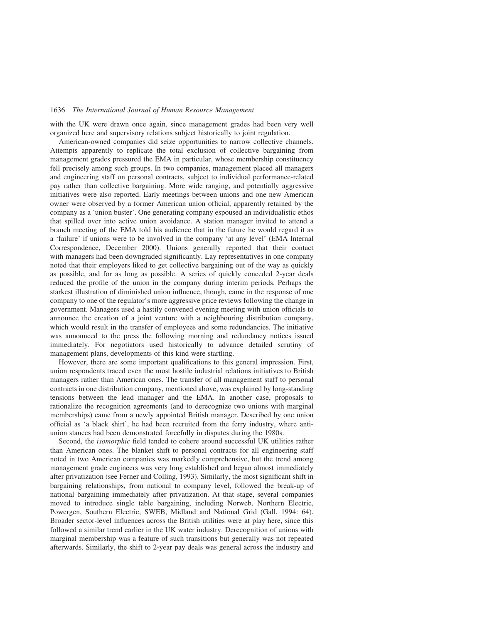with the UK were drawn once again, since management grades had been very well organized here and supervisory relations subject historically to joint regulation.

American-owned companies did seize opportunities to narrow collective channels. Attempts apparently to replicate the total exclusion of collective bargaining from management grades pressured the EMA in particular, whose membership constituency fell precisely among such groups. In two companies, management placed all managers and engineering staff on personal contracts, subject to individual performance-related pay rather than collective bargaining. More wide ranging, and potentially aggressive initiatives were also reported. Early meetings between unions and one new American owner were observed by a former American union official, apparently retained by the company as a 'union buster'. One generating company espoused an individualistic ethos that spilled over into active union avoidance. A station manager invited to attend a branch meeting of the EMA told his audience that in the future he would regard it as a 'failure' if unions were to be involved in the company 'at any level' (EMA Internal Correspondence, December 2000). Unions generally reported that their contact with managers had been downgraded significantly. Lay representatives in one company noted that their employers liked to get collective bargaining out of the way as quickly as possible, and for as long as possible. A series of quickly conceded 2-year deals reduced the profile of the union in the company during interim periods. Perhaps the starkest illustration of diminished union influence, though, came in the response of one company to one of the regulator's more aggressive price reviews following the change in government. Managers used a hastily convened evening meeting with union officials to announce the creation of a joint venture with a neighbouring distribution company, which would result in the transfer of employees and some redundancies. The initiative was announced to the press the following morning and redundancy notices issued immediately. For negotiators used historically to advance detailed scrutiny of management plans, developments of this kind were startling.

However, there are some important qualifications to this general impression. First, union respondents traced even the most hostile industrial relations initiatives to British managers rather than American ones. The transfer of all management staff to personal contracts in one distribution company, mentioned above, was explained by long-standing tensions between the lead manager and the EMA. In another case, proposals to rationalize the recognition agreements (and to derecognize two unions with marginal memberships) came from a newly appointed British manager. Described by one union official as 'a black shirt', he had been recruited from the ferry industry, where antiunion stances had been demonstrated forcefully in disputes during the 1980s.

Second, the isomorphic field tended to cohere around successful UK utilities rather than American ones. The blanket shift to personal contracts for all engineering staff noted in two American companies was markedly comprehensive, but the trend among management grade engineers was very long established and began almost immediately after privatization (see Ferner and Colling, 1993). Similarly, the most significant shift in bargaining relationships, from national to company level, followed the break-up of national bargaining immediately after privatization. At that stage, several companies moved to introduce single table bargaining, including Norweb, Northern Electric, Powergen, Southern Electric, SWEB, Midland and National Grid (Gall, 1994: 64). Broader sector-level influences across the British utilities were at play here, since this followed a similar trend earlier in the UK water industry. Derecognition of unions with marginal membership was a feature of such transitions but generally was not repeated afterwards. Similarly, the shift to 2-year pay deals was general across the industry and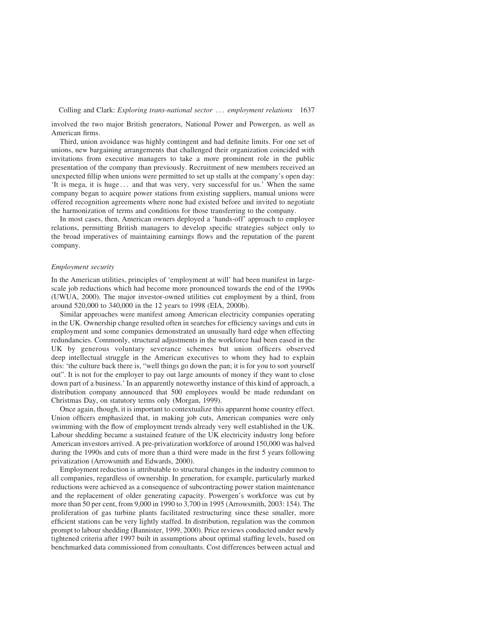involved the two major British generators, National Power and Powergen, as well as American firms.

Third, union avoidance was highly contingent and had definite limits. For one set of unions, new bargaining arrangements that challenged their organization coincided with invitations from executive managers to take a more prominent role in the public presentation of the company than previously. Recruitment of new members received an unexpected fillip when unions were permitted to set up stalls at the company's open day: 'It is mega, it is huge ... and that was very, very successful for us.' When the same company began to acquire power stations from existing suppliers, manual unions were offered recognition agreements where none had existed before and invited to negotiate the harmonization of terms and conditions for those transferring to the company.

In most cases, then, American owners deployed a 'hands-off' approach to employee relations, permitting British managers to develop specific strategies subject only to the broad imperatives of maintaining earnings flows and the reputation of the parent company.

# Employment security

In the American utilities, principles of 'employment at will' had been manifest in largescale job reductions which had become more pronounced towards the end of the 1990s (UWUA, 2000). The major investor-owned utilities cut employment by a third, from around 520,000 to 340,000 in the 12 years to 1998 (EIA, 2000b).

Similar approaches were manifest among American electricity companies operating in the UK. Ownership change resulted often in searches for efficiency savings and cuts in employment and some companies demonstrated an unusually hard edge when effecting redundancies. Commonly, structural adjustments in the workforce had been eased in the UK by generous voluntary severance schemes but union officers observed deep intellectual struggle in the American executives to whom they had to explain this: 'the culture back there is, "well things go down the pan; it is for you to sort yourself out". It is not for the employer to pay out large amounts of money if they want to close down part of a business.' In an apparently noteworthy instance of this kind of approach, a distribution company announced that 500 employees would be made redundant on Christmas Day, on statutory terms only (Morgan, 1999).

Once again, though, it is important to contextualize this apparent home country effect. Union officers emphasized that, in making job cuts, American companies were only swimming with the flow of employment trends already very well established in the UK. Labour shedding became a sustained feature of the UK electricity industry long before American investors arrived. A pre-privatization workforce of around 150,000 was halved during the 1990s and cuts of more than a third were made in the first 5 years following privatization (Arrowsmith and Edwards, 2000).

Employment reduction is attributable to structural changes in the industry common to all companies, regardless of ownership. In generation, for example, particularly marked reductions were achieved as a consequence of subcontracting power station maintenance and the replacement of older generating capacity. Powergen's workforce was cut by more than 50 per cent, from 9,000 in 1990 to 3,700 in 1995 (Arrowsmith, 2003: 154). The proliferation of gas turbine plants facilitated restructuring since these smaller, more efficient stations can be very lightly staffed. In distribution, regulation was the common prompt to labour shedding (Bannister, 1999, 2000). Price reviews conducted under newly tightened criteria after 1997 built in assumptions about optimal staffing levels, based on benchmarked data commissioned from consultants. Cost differences between actual and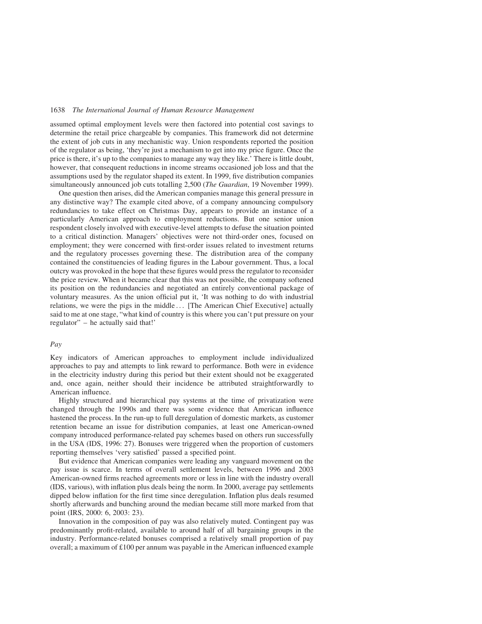assumed optimal employment levels were then factored into potential cost savings to determine the retail price chargeable by companies. This framework did not determine the extent of job cuts in any mechanistic way. Union respondents reported the position of the regulator as being, 'they're just a mechanism to get into my price figure. Once the price is there, it's up to the companies to manage any way they like.' There is little doubt, however, that consequent reductions in income streams occasioned job loss and that the assumptions used by the regulator shaped its extent. In 1999, five distribution companies simultaneously announced job cuts totalling 2,500 (The Guardian, 19 November 1999).

One question then arises, did the American companies manage this general pressure in any distinctive way? The example cited above, of a company announcing compulsory redundancies to take effect on Christmas Day, appears to provide an instance of a particularly American approach to employment reductions. But one senior union respondent closely involved with executive-level attempts to defuse the situation pointed to a critical distinction. Managers' objectives were not third-order ones, focused on employment; they were concerned with first-order issues related to investment returns and the regulatory processes governing these. The distribution area of the company contained the constituencies of leading figures in the Labour government. Thus, a local outcry was provoked in the hope that these figures would press the regulator to reconsider the price review. When it became clear that this was not possible, the company softened its position on the redundancies and negotiated an entirely conventional package of voluntary measures. As the union official put it, 'It was nothing to do with industrial relations, we were the pigs in the middle ... [The American Chief Executive] actually said to me at one stage, "what kind of country is this where you can't put pressure on your regulator" – he actually said that!'

# Pay

Key indicators of American approaches to employment include individualized approaches to pay and attempts to link reward to performance. Both were in evidence in the electricity industry during this period but their extent should not be exaggerated and, once again, neither should their incidence be attributed straightforwardly to American influence.

Highly structured and hierarchical pay systems at the time of privatization were changed through the 1990s and there was some evidence that American influence hastened the process. In the run-up to full deregulation of domestic markets, as customer retention became an issue for distribution companies, at least one American-owned company introduced performance-related pay schemes based on others run successfully in the USA (IDS, 1996: 27). Bonuses were triggered when the proportion of customers reporting themselves 'very satisfied' passed a specified point.

But evidence that American companies were leading any vanguard movement on the pay issue is scarce. In terms of overall settlement levels, between 1996 and 2003 American-owned firms reached agreements more or less in line with the industry overall (IDS, various), with inflation plus deals being the norm. In 2000, average pay settlements dipped below inflation for the first time since deregulation. Inflation plus deals resumed shortly afterwards and bunching around the median became still more marked from that point (IRS, 2000: 6, 2003: 23).

Innovation in the composition of pay was also relatively muted. Contingent pay was predominantly profit-related, available to around half of all bargaining groups in the industry. Performance-related bonuses comprised a relatively small proportion of pay overall; a maximum of £100 per annum was payable in the American influenced example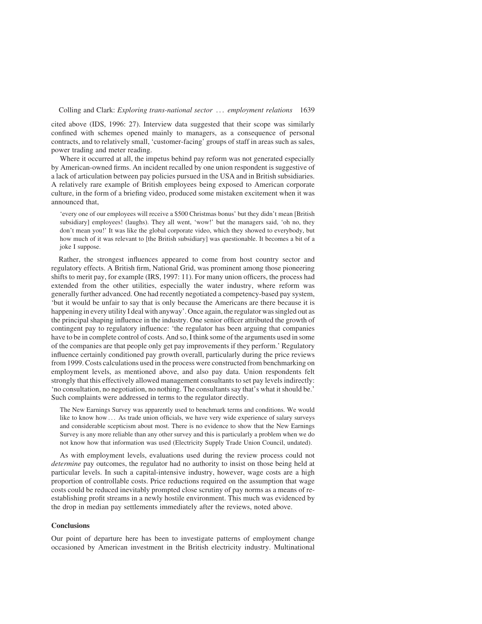cited above (IDS, 1996: 27). Interview data suggested that their scope was similarly confined with schemes opened mainly to managers, as a consequence of personal contracts, and to relatively small, 'customer-facing' groups of staff in areas such as sales, power trading and meter reading.

Where it occurred at all, the impetus behind pay reform was not generated especially by American-owned firms. An incident recalled by one union respondent is suggestive of a lack of articulation between pay policies pursued in the USA and in British subsidiaries. A relatively rare example of British employees being exposed to American corporate culture, in the form of a briefing video, produced some mistaken excitement when it was announced that,

'every one of our employees will receive a \$500 Christmas bonus' but they didn't mean [British subsidiary] employees! (laughs). They all went, 'wow!' but the managers said, 'oh no, they don't mean you!' It was like the global corporate video, which they showed to everybody, but how much of it was relevant to [the British subsidiary] was questionable. It becomes a bit of a joke I suppose.

Rather, the strongest influences appeared to come from host country sector and regulatory effects. A British firm, National Grid, was prominent among those pioneering shifts to merit pay, for example (IRS, 1997: 11). For many union officers, the process had extended from the other utilities, especially the water industry, where reform was generally further advanced. One had recently negotiated a competency-based pay system, 'but it would be unfair to say that is only because the Americans are there because it is happening in every utility I deal with anyway'. Once again, the regulator was singled out as the principal shaping influence in the industry. One senior officer attributed the growth of contingent pay to regulatory influence: 'the regulator has been arguing that companies have to be in complete control of costs. And so, I think some of the arguments used in some of the companies are that people only get pay improvements if they perform.' Regulatory influence certainly conditioned pay growth overall, particularly during the price reviews from 1999. Costs calculations used in the process were constructed from benchmarking on employment levels, as mentioned above, and also pay data. Union respondents felt strongly that this effectively allowed management consultants to set pay levels indirectly: 'no consultation, no negotiation, no nothing. The consultants say that's what it should be.' Such complaints were addressed in terms to the regulator directly.

The New Earnings Survey was apparently used to benchmark terms and conditions. We would like to know how ... As trade union officials, we have very wide experience of salary surveys and considerable scepticism about most. There is no evidence to show that the New Earnings Survey is any more reliable than any other survey and this is particularly a problem when we do not know how that information was used (Electricity Supply Trade Union Council, undated).

As with employment levels, evaluations used during the review process could not determine pay outcomes, the regulator had no authority to insist on those being held at particular levels. In such a capital-intensive industry, however, wage costs are a high proportion of controllable costs. Price reductions required on the assumption that wage costs could be reduced inevitably prompted close scrutiny of pay norms as a means of reestablishing profit streams in a newly hostile environment. This much was evidenced by the drop in median pay settlements immediately after the reviews, noted above.

## **Conclusions**

Our point of departure here has been to investigate patterns of employment change occasioned by American investment in the British electricity industry. Multinational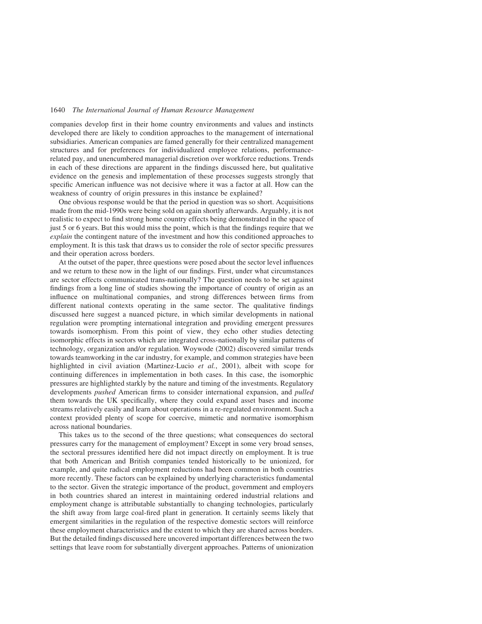companies develop first in their home country environments and values and instincts developed there are likely to condition approaches to the management of international subsidiaries. American companies are famed generally for their centralized management structures and for preferences for individualized employee relations, performancerelated pay, and unencumbered managerial discretion over workforce reductions. Trends in each of these directions are apparent in the findings discussed here, but qualitative evidence on the genesis and implementation of these processes suggests strongly that specific American influence was not decisive where it was a factor at all. How can the weakness of country of origin pressures in this instance be explained?

One obvious response would be that the period in question was so short. Acquisitions made from the mid-1990s were being sold on again shortly afterwards. Arguably, it is not realistic to expect to find strong home country effects being demonstrated in the space of just 5 or 6 years. But this would miss the point, which is that the findings require that we explain the contingent nature of the investment and how this conditioned approaches to employment. It is this task that draws us to consider the role of sector specific pressures and their operation across borders.

At the outset of the paper, three questions were posed about the sector level influences and we return to these now in the light of our findings. First, under what circumstances are sector effects communicated trans-nationally? The question needs to be set against findings from a long line of studies showing the importance of country of origin as an influence on multinational companies, and strong differences between firms from different national contexts operating in the same sector. The qualitative findings discussed here suggest a nuanced picture, in which similar developments in national regulation were prompting international integration and providing emergent pressures towards isomorphism. From this point of view, they echo other studies detecting isomorphic effects in sectors which are integrated cross-nationally by similar patterns of technology, organization and/or regulation. Woywode (2002) discovered similar trends towards teamworking in the car industry, for example, and common strategies have been highlighted in civil aviation (Martinez-Lucio *et al.*, 2001), albeit with scope for continuing differences in implementation in both cases. In this case, the isomorphic pressures are highlighted starkly by the nature and timing of the investments. Regulatory developments pushed American firms to consider international expansion, and pulled them towards the UK specifically, where they could expand asset bases and income streams relatively easily and learn about operations in a re-regulated environment. Such a context provided plenty of scope for coercive, mimetic and normative isomorphism across national boundaries.

This takes us to the second of the three questions; what consequences do sectoral pressures carry for the management of employment? Except in some very broad senses, the sectoral pressures identified here did not impact directly on employment. It is true that both American and British companies tended historically to be unionized, for example, and quite radical employment reductions had been common in both countries more recently. These factors can be explained by underlying characteristics fundamental to the sector. Given the strategic importance of the product, government and employers in both countries shared an interest in maintaining ordered industrial relations and employment change is attributable substantially to changing technologies, particularly the shift away from large coal-fired plant in generation. It certainly seems likely that emergent similarities in the regulation of the respective domestic sectors will reinforce these employment characteristics and the extent to which they are shared across borders. But the detailed findings discussed here uncovered important differences between the two settings that leave room for substantially divergent approaches. Patterns of unionization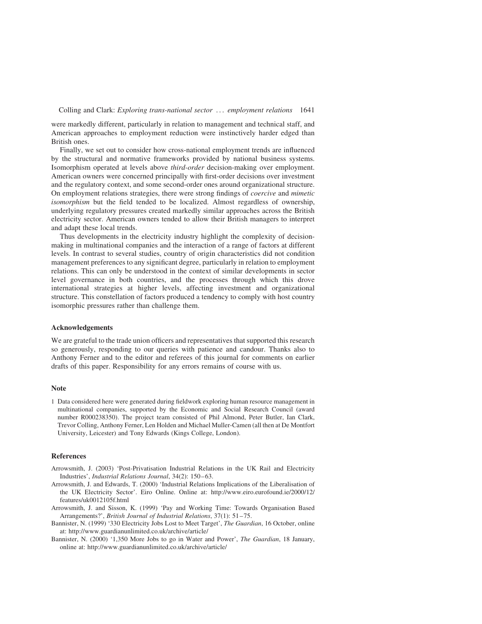were markedly different, particularly in relation to management and technical staff, and American approaches to employment reduction were instinctively harder edged than British ones.

Finally, we set out to consider how cross-national employment trends are influenced by the structural and normative frameworks provided by national business systems. Isomorphism operated at levels above third-order decision-making over employment. American owners were concerned principally with first-order decisions over investment and the regulatory context, and some second-order ones around organizational structure. On employment relations strategies, there were strong findings of coercive and mimetic isomorphism but the field tended to be localized. Almost regardless of ownership, underlying regulatory pressures created markedly similar approaches across the British electricity sector. American owners tended to allow their British managers to interpret and adapt these local trends.

Thus developments in the electricity industry highlight the complexity of decisionmaking in multinational companies and the interaction of a range of factors at different levels. In contrast to several studies, country of origin characteristics did not condition management preferences to any significant degree, particularly in relation to employment relations. This can only be understood in the context of similar developments in sector level governance in both countries, and the processes through which this drove international strategies at higher levels, affecting investment and organizational structure. This constellation of factors produced a tendency to comply with host country isomorphic pressures rather than challenge them.

# Acknowledgements

We are grateful to the trade union officers and representatives that supported this research so generously, responding to our queries with patience and candour. Thanks also to Anthony Ferner and to the editor and referees of this journal for comments on earlier drafts of this paper. Responsibility for any errors remains of course with us.

# Note

1 Data considered here were generated during fieldwork exploring human resource management in multinational companies, supported by the Economic and Social Research Council (award number R000238350). The project team consisted of Phil Almond, Peter Butler, Ian Clark, Trevor Colling, Anthony Ferner, Len Holden and Michael Muller-Camen (all then at De Montfort University, Leicester) and Tony Edwards (Kings College, London).

# References

- Arrowsmith, J. (2003) 'Post-Privatisation Industrial Relations in the UK Rail and Electricity Industries', Industrial Relations Journal, 34(2): 150–63.
- Arrowsmith, J. and Edwards, T. (2000) 'Industrial Relations Implications of the Liberalisation of the UK Electricity Sector'. Eiro Online. Online at: http://www.eiro.eurofound.ie/2000/12/ features/uk0012105f.html
- Arrowsmith, J. and Sisson, K. (1999) 'Pay and Working Time: Towards Organisation Based Arrangements?', British Journal of Industrial Relations, 37(1): 51–75.
- Bannister, N. (1999) '330 Electricity Jobs Lost to Meet Target', The Guardian, 16 October, online at: http://www.guardianunlimited.co.uk/archive/article/
- Bannister, N. (2000) '1,350 More Jobs to go in Water and Power', The Guardian, 18 January, online at: http://www.guardianunlimited.co.uk/archive/article/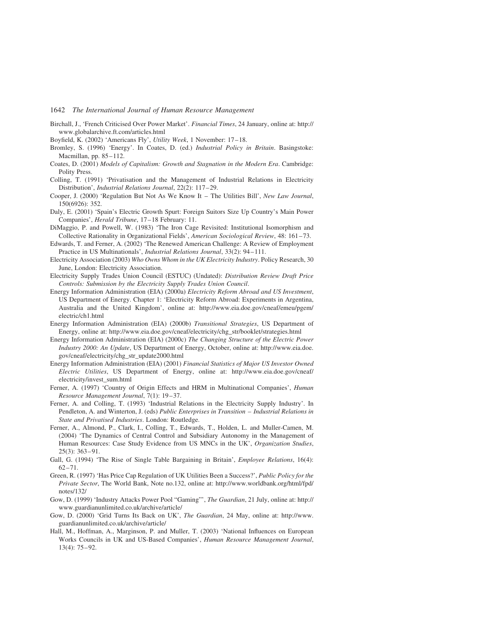- Birchall, J., 'French Criticised Over Power Market'. Financial Times, 24 January, online at: http:// www.globalarchive.ft.com/articles.html
- Boyfield, K. (2002) 'Americans Fly', Utility Week, 1 November: 17–18.
- Bromley, S. (1996) 'Energy'. In Coates, D. (ed.) Industrial Policy in Britain. Basingstoke: Macmillan, pp. 85–112.
- Coates, D. (2001) Models of Capitalism: Growth and Stagnation in the Modern Era. Cambridge: Polity Press.
- Colling, T. (1991) 'Privatisation and the Management of Industrial Relations in Electricity Distribution', Industrial Relations Journal, 22(2): 117–29.
- Cooper, J. (2000) 'Regulation But Not As We Know It The Utilities Bill', New Law Journal, 150(6926): 352.
- Daly, E. (2001) 'Spain's Electric Growth Spurt: Foreign Suitors Size Up Country's Main Power Companies', Herald Tribune, 17–18 February: 11.
- DiMaggio, P. and Powell, W. (1983) 'The Iron Cage Revisited: Institutional Isomorphism and Collective Rationality in Organizational Fields', American Sociological Review, 48: 161–73.
- Edwards, T. and Ferner, A. (2002) 'The Renewed American Challenge: A Review of Employment Practice in US Multinationals', Industrial Relations Journal, 33(2): 94–111.
- Electricity Association (2003) Who Owns Whom in the UK Electricity Industry. Policy Research, 30 June, London: Electricity Association.
- Electricity Supply Trades Union Council (ESTUC) (Undated): Distribution Review Draft Price Controls: Submission by the Electricity Supply Trades Union Council.
- Energy Information Administration (EIA) (2000a) Electricity Reform Abroad and US Investment, US Department of Energy. Chapter 1: 'Electricity Reform Abroad: Experiments in Argentina, Australia and the United Kingdom', online at: http://www.eia.doe.gov/cneaf/emeu/pgem/ electric/ch1.html
- Energy Information Administration (EIA) (2000b) Transitional Strategies, US Department of Energy, online at: http://www.eia.doe.gov/cneaf/electricity/chg\_str/booklet/strategies.html
- Energy Information Administration (EIA) (2000c) The Changing Structure of the Electric Power Industry 2000: An Update, US Department of Energy, October, online at: http://www.eia.doe. gov/cneaf/electricity/chg\_str\_update2000.html
- Energy Information Administration (EIA) (2001) Financial Statistics of Major US Investor Owned Electric Utilities, US Department of Energy, online at: http://www.eia.doe.gov/cneaf/ electricity/invest\_sum.html
- Ferner, A. (1997) 'Country of Origin Effects and HRM in Multinational Companies', Human Resource Management Journal, 7(1): 19–37.
- Ferner, A. and Colling, T. (1993) 'Industrial Relations in the Electricity Supply Industry'. In Pendleton, A. and Winterton, J. (eds) Public Enterprises in Transition – Industrial Relations in State and Privatised Industries. London: Routledge.
- Ferner, A., Almond, P., Clark, I., Colling, T., Edwards, T., Holden, L. and Muller-Camen, M. (2004) 'The Dynamics of Central Control and Subsidiary Autonomy in the Management of Human Resources: Case Study Evidence from US MNCs in the UK', Organization Studies, 25(3): 363–91.
- Gall, G. (1994) 'The Rise of Single Table Bargaining in Britain', Employee Relations, 16(4): 62–71.
- Green, R. (1997) 'Has Price Cap Regulation of UK Utilities Been a Success?', Public Policy for the Private Sector, The World Bank, Note no.132, online at: http://www.worldbank.org/html/fpd/ notes/132/
- Gow, D. (1999) 'Industry Attacks Power Pool "Gaming"', The Guardian, 21 July, online at: http:// www.guardianunlimited.co.uk/archive/article/
- Gow, D. (2000) 'Grid Turns Its Back on UK', The Guardian, 24 May, online at: http://www. guardianunlimited.co.uk/archive/article/
- Hall, M., Hoffman, A., Marginson, P. and Muller, T. (2003) 'National Influences on European Works Councils in UK and US-Based Companies', Human Resource Management Journal, 13(4): 75–92.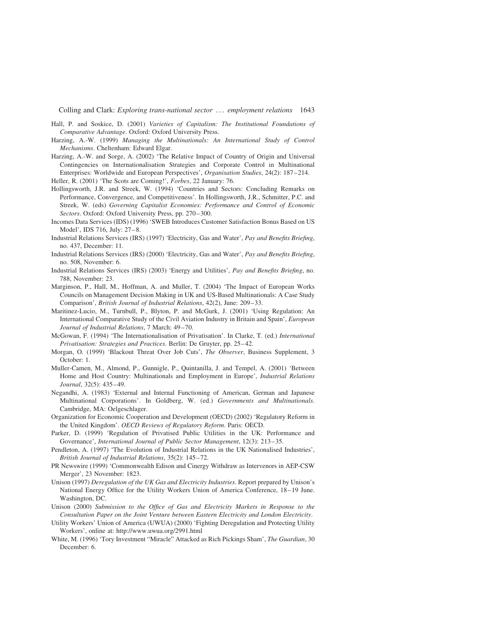- Hall, P. and Soskice, D. (2001) Varieties of Capitalism: The Institutional Foundations of Comparative Advantage. Oxford: Oxford University Press.
- Harzing, A.-W. (1999) Managing the Multinationals: An International Study of Control Mechanisms. Cheltenham: Edward Elgar.
- Harzing, A.-W. and Sorge, A. (2002) 'The Relative Impact of Country of Origin and Universal Contingencies on Internationalisation Strategies and Corporate Control in Multinational Enterprises: Worldwide and European Perspectives', Organisation Studies, 24(2): 187–214.
- Heller, R. (2001) 'The Scots are Coming!', Forbes, 22 January: 76.
- Hollingsworth, J.R. and Streek, W. (1994) 'Countries and Sectors: Concluding Remarks on Performance, Convergence, and Competitiveness'. In Hollingsworth, J.R., Schmitter, P.C. and Streek, W. (eds) Governing Capitalist Economies: Performance and Control of Economic Sectors. Oxford: Oxford University Press, pp. 270–300.
- Incomes Data Services (IDS) (1996) 'SWEB Introduces Customer Satisfaction Bonus Based on US Model', IDS 716, July: 27–8.
- Industrial Relations Services (IRS) (1997) 'Electricity, Gas and Water', Pay and Benefits Briefing, no. 437, December: 11.
- Industrial Relations Services (IRS) (2000) 'Electricity, Gas and Water', Pay and Benefits Briefing, no. 508, November: 6.
- Industrial Relations Services (IRS) (2003) 'Energy and Utilities', Pay and Benefits Briefing, no. 788, November: 23.
- Marginson, P., Hall, M., Hoffman, A. and Muller, T. (2004) 'The Impact of European Works Councils on Management Decision Making in UK and US-Based Multinationals: A Case Study Comparison', British Journal of Industrial Relations, 42(2), June: 209–33.
- Maritinez-Lucio, M., Turnbull, P., Blyton, P. and McGurk, J. (2001) 'Using Regulation: An International Comparative Study of the Civil Aviation Industry in Britain and Spain', European Journal of Industrial Relations, 7 March: 49–70.
- McGowan, F. (1994) 'The Internationalisation of Privatisation'. In Clarke, T. (ed.) International Privatisation: Strategies and Practices. Berlin: De Gruyter, pp. 25–42.
- Morgan, O. (1999) 'Blackout Threat Over Job Cuts', The Observer, Business Supplement, 3 October: 1.
- Muller-Camen, M., Almond, P., Gunnigle, P., Quintanilla, J. and Tempel, A. (2001) 'Between Home and Host Country: Multinationals and Employment in Europe', Industrial Relations Journal, 32(5): 435–49.
- Negandhi, A. (1983) 'External and Internal Functioning of American, German and Japanese Multinational Corporations'. In Goldberg, W. (ed.) Governments and Multinationals. Cambridge, MA: Oelgeschlager.
- Organization for Economic Cooperation and Development (OECD) (2002) 'Regulatory Reform in the United Kingdom'. OECD Reviews of Regulatory Reform. Paris: OECD.
- Parker, D. (1999) 'Regulation of Privatised Public Utilities in the UK: Performance and Governance', International Journal of Public Sector Management, 12(3): 213–35.
- Pendleton, A. (1997) 'The Evolution of Industrial Relations in the UK Nationalised Industries', British Journal of Industrial Relations, 35(2): 145–72.
- PR Newswire (1999) 'Commonwealth Edison and Cinergy Withdraw as Intervenors in AEP-CSW Merger', 23 November: 1823.
- Unison (1997) Deregulation of the UK Gas and Electricity Industries. Report prepared by Unison's National Energy Office for the Utility Workers Union of America Conference, 18–19 June. Washington, DC.
- Unison (2000) Submission to the Office of Gas and Electricity Markets in Response to the Consultation Paper on the Joint Venture between Eastern Electricity and London Electricity.
- Utility Workers' Union of America (UWUA) (2000) 'Fighting Deregulation and Protecting Utility Workers', online at: http://www.uwua.org/2991.html
- White, M. (1996) 'Tory Investment "Miracle" Attacked as Rich Pickings Sham', The Guardian, 30 December: 6.